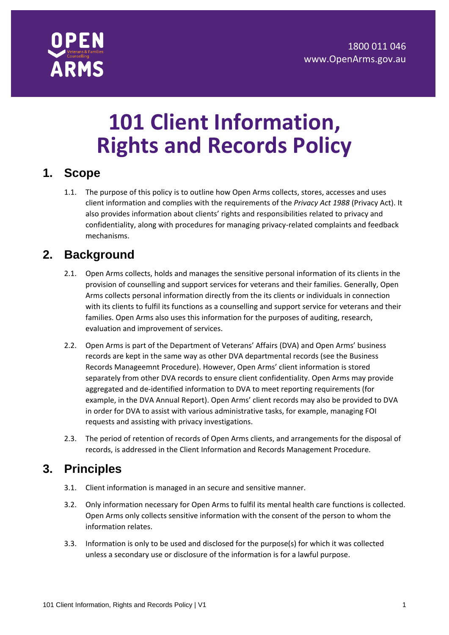

# **101 Client Information, Rights and Records Policy**

#### **1. Scope**

1.1. The purpose of this policy is to outline how Open Arms collects, stores, accesses and uses client information and complies with the requirements of the *Privacy Act 1988* (Privacy Act). It also provides information about clients' rights and responsibilities related to privacy and confidentiality, along with procedures for managing privacy-related complaints and feedback mechanisms.

## **2. Background**

- 2.1. Open Arms collects, holds and manages the sensitive personal information of its clients in the provision of counselling and support services for veterans and their families. Generally, Open Arms collects personal information directly from the its clients or individuals in connection with its clients to fulfil its functions as a counselling and support service for veterans and their families. Open Arms also uses this information for the purposes of auditing, research, evaluation and improvement of services.
- 2.2. Open Arms is part of the Department of Veterans' Affairs (DVA) and Open Arms' business records are kept in the same way as other DVA departmental records (see the Business Records Manageemnt Procedure). However, Open Arms' client information is stored separately from other DVA records to ensure client confidentiality. Open Arms may provide aggregated and de-identified information to DVA to meet reporting requirements (for example, in the DVA Annual Report). Open Arms' client records may also be provided to DVA in order for DVA to assist with various administrative tasks, for example, managing FOI requests and assisting with privacy investigations.
- 2.3. The period of retention of records of Open Arms clients, and arrangements for the disposal of records, is addressed in the Client Information and Records Management Procedure.

## **3. Principles**

- 3.1. Client information is managed in an secure and sensitive manner.
- 3.2. Only information necessary for Open Arms to fulfil its mental health care functions is collected. Open Arms only collects sensitive information with the consent of the person to whom the information relates.
- 3.3. Information is only to be used and disclosed for the purpose(s) for which it was collected unless a secondary use or disclosure of the information is for a lawful purpose.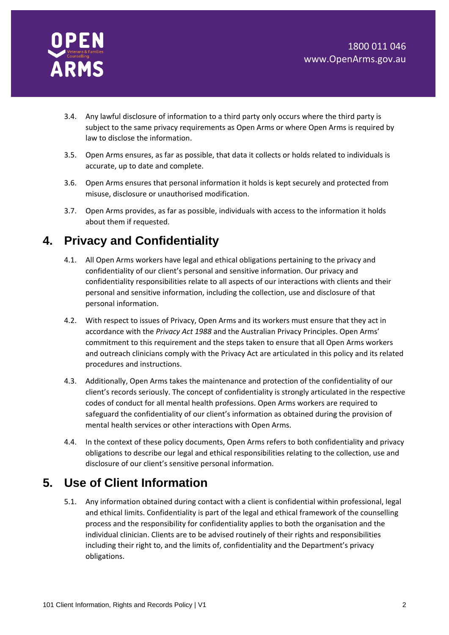

- 3.4. Any lawful disclosure of information to a third party only occurs where the third party is subject to the same privacy requirements as Open Arms or where Open Arms is required by law to disclose the information.
- 3.5. Open Arms ensures, as far as possible, that data it collects or holds related to individuals is accurate, up to date and complete.
- 3.6. Open Arms ensures that personal information it holds is kept securely and protected from misuse, disclosure or unauthorised modification.
- 3.7. Open Arms provides, as far as possible, individuals with access to the information it holds about them if requested.

# **4. Privacy and Confidentiality**

- 4.1. All Open Arms workers have legal and ethical obligations pertaining to the privacy and confidentiality of our client's personal and sensitive information. Our privacy and confidentiality responsibilities relate to all aspects of our interactions with clients and their personal and sensitive information, including the collection, use and disclosure of that personal information.
- 4.2. With respect to issues of Privacy, Open Arms and its workers must ensure that they act in accordance with the *Privacy Act 1988* and the Australian Privacy Principles. Open Arms' commitment to this requirement and the steps taken to ensure that all Open Arms workers and outreach clinicians comply with the Privacy Act are articulated in this policy and its related procedures and instructions.
- 4.3. Additionally, Open Arms takes the maintenance and protection of the confidentiality of our client's records seriously. The concept of confidentiality is strongly articulated in the respective codes of conduct for all mental health professions. Open Arms workers are required to safeguard the confidentiality of our client's information as obtained during the provision of mental health services or other interactions with Open Arms.
- 4.4. In the context of these policy documents, Open Arms refers to both confidentiality and privacy obligations to describe our legal and ethical responsibilities relating to the collection, use and disclosure of our client's sensitive personal information.

# **5. Use of Client Information**

5.1. Any information obtained during contact with a client is confidential within professional, legal and ethical limits. Confidentiality is part of the legal and ethical framework of the counselling process and the responsibility for confidentiality applies to both the organisation and the individual clinician. Clients are to be advised routinely of their rights and responsibilities including their right to, and the limits of, confidentiality and the Department's privacy obligations.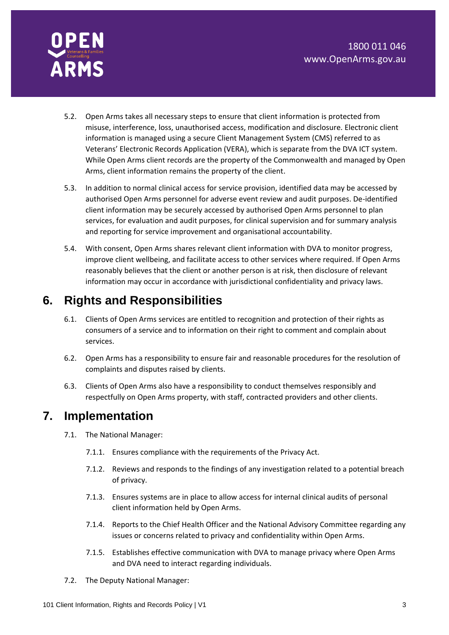

- 5.2. Open Arms takes all necessary steps to ensure that client information is protected from misuse, interference, loss, unauthorised access, modification and disclosure. Electronic client information is managed using a secure Client Management System (CMS) referred to as Veterans' Electronic Records Application (VERA), which is separate from the DVA ICT system. While Open Arms client records are the property of the Commonwealth and managed by Open Arms, client information remains the property of the client.
- 5.3. In addition to normal clinical access for service provision, identified data may be accessed by authorised Open Arms personnel for adverse event review and audit purposes. De-identified client information may be securely accessed by authorised Open Arms personnel to plan services, for evaluation and audit purposes, for clinical supervision and for summary analysis and reporting for service improvement and organisational accountability.
- 5.4. With consent, Open Arms shares relevant client information with DVA to monitor progress, improve client wellbeing, and facilitate access to other services where required. If Open Arms reasonably believes that the client or another person is at risk, then disclosure of relevant information may occur in accordance with jurisdictional confidentiality and privacy laws.

# **6. Rights and Responsibilities**

- 6.1. Clients of Open Arms services are entitled to recognition and protection of their rights as consumers of a service and to information on their right to comment and complain about services.
- 6.2. Open Arms has a responsibility to ensure fair and reasonable procedures for the resolution of complaints and disputes raised by clients.
- 6.3. Clients of Open Arms also have a responsibility to conduct themselves responsibly and respectfully on Open Arms property, with staff, contracted providers and other clients.

## **7. Implementation**

- 7.1. The National Manager:
	- 7.1.1. Ensures compliance with the requirements of the Privacy Act.
	- 7.1.2. Reviews and responds to the findings of any investigation related to a potential breach of privacy.
	- 7.1.3. Ensures systems are in place to allow access for internal clinical audits of personal client information held by Open Arms.
	- 7.1.4. Reports to the Chief Health Officer and the National Advisory Committee regarding any issues or concerns related to privacy and confidentiality within Open Arms.
	- 7.1.5. Establishes effective communication with DVA to manage privacy where Open Arms and DVA need to interact regarding individuals.
- 7.2. The Deputy National Manager: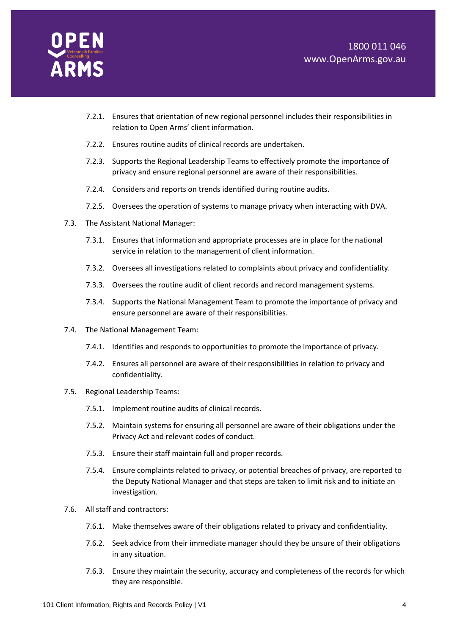

- 7.2.1. Ensures that orientation of new regional personnel includes their responsibilities in relation to Open Arms' client information.
- 7.2.2. Ensures routine audits of clinical records are undertaken.
- 7.2.3. Supports the Regional Leadership Teams to effectively promote the importance of privacy and ensure regional personnel are aware of their responsibilities.
- 7.2.4. Considers and reports on trends identified during routine audits.
- 7.2.5. Oversees the operation of systems to manage privacy when interacting with DVA.
- 7.3. The Assistant National Manager:
	- 7.3.1. Ensures that information and appropriate processes are in place for the national service in relation to the management of client information.
	- 7.3.2. Oversees all investigations related to complaints about privacy and confidentiality.
	- 7.3.3. Oversees the routine audit of client records and record management systems.
	- 7.3.4. Supports the National Management Team to promote the importance of privacy and ensure personnel are aware of their responsibilities.
- 7.4. The National Management Team:
	- 7.4.1. Identifies and responds to opportunities to promote the importance of privacy.
	- 7.4.2. Ensures all personnel are aware of their responsibilities in relation to privacy and confidentiality.
- 7.5. Regional Leadership Teams:
	- 7.5.1. Implement routine audits of clinical records.
	- 7.5.2. Maintain systems for ensuring all personnel are aware of their obligations under the Privacy Act and relevant codes of conduct.
	- 7.5.3. Ensure their staff maintain full and proper records.
	- 7.5.4. Ensure complaints related to privacy, or potential breaches of privacy, are reported to the Deputy National Manager and that steps are taken to limit risk and to initiate an investigation.
- 7.6. All staff and contractors:
	- 7.6.1. Make themselves aware of their obligations related to privacy and confidentiality.
	- 7.6.2. Seek advice from their immediate manager should they be unsure of their obligations in any situation.
	- 7.6.3. Ensure they maintain the security, accuracy and completeness of the records for which they are responsible.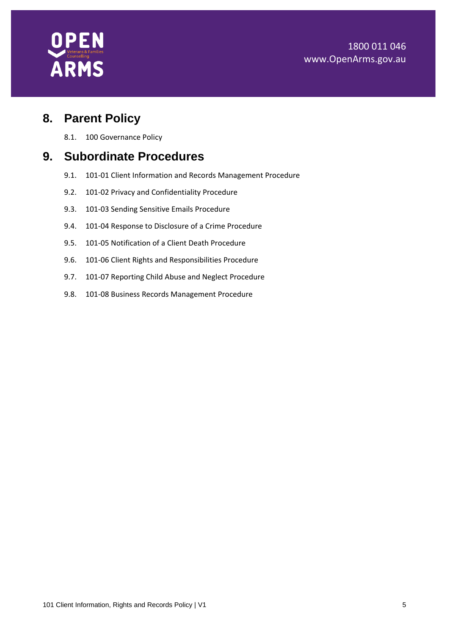#### 1800 011 046 www.OpenArms.gov.au



## **8. Parent Policy**

8.1. 100 Governance Policy

#### **9. Subordinate Procedures**

- 9.1. 101-01 Client Information and Records Management Procedure
- 9.2. 101-02 Privacy and Confidentiality Procedure
- 9.3. 101-03 Sending Sensitive Emails Procedure
- 9.4. 101-04 Response to Disclosure of a Crime Procedure
- 9.5. 101-05 Notification of a Client Death Procedure
- 9.6. 101-06 Client Rights and Responsibilities Procedure
- 9.7. 101-07 Reporting Child Abuse and Neglect Procedure
- 9.8. 101-08 Business Records Management Procedure